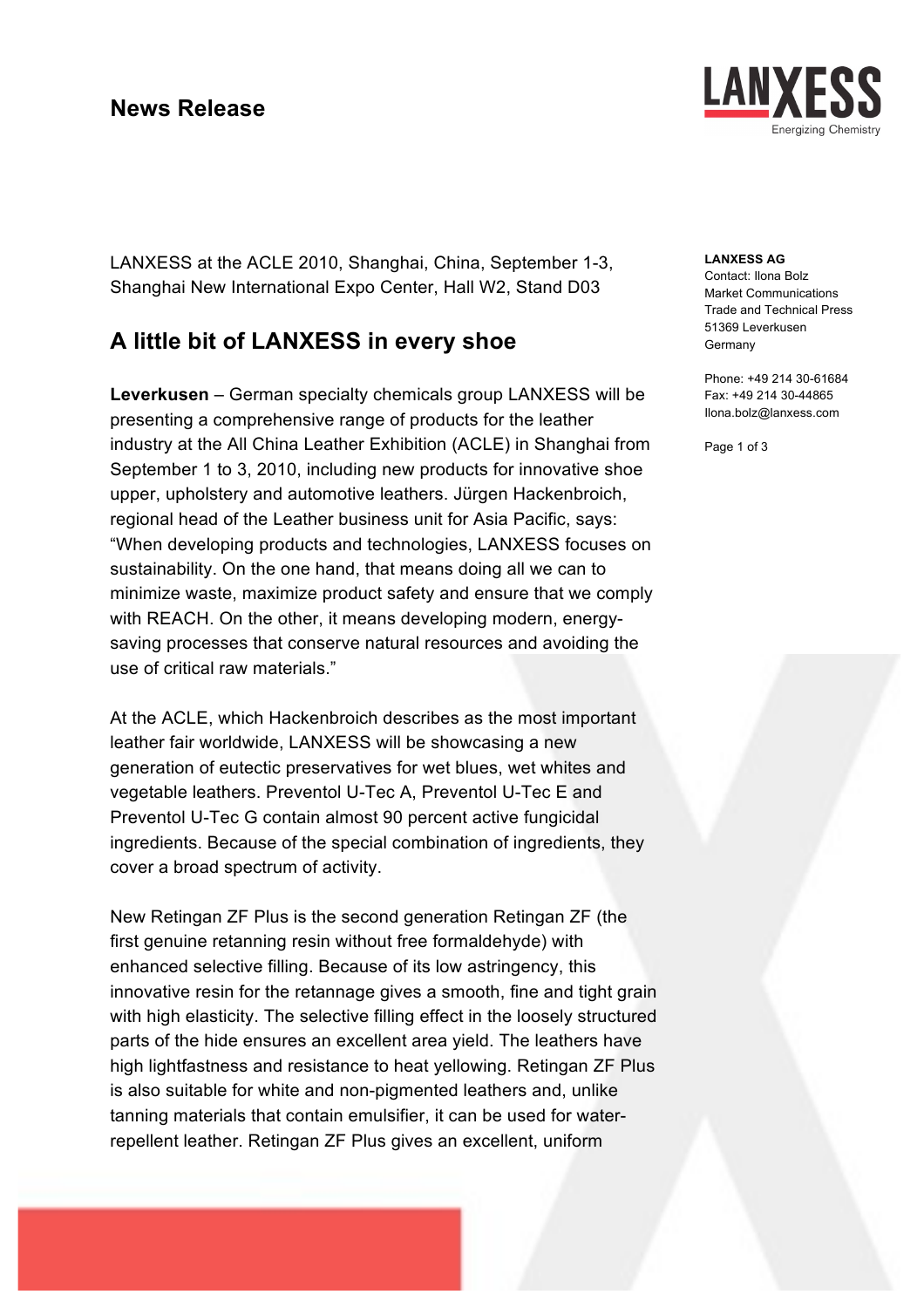### **News Release**



LANXESS at the ACLE 2010, Shanghai, China, September 1-3, Shanghai New International Expo Center, Hall W2, Stand D03

# **A little bit of LANXESS in every shoe**

**Leverkusen** – German specialty chemicals group LANXESS will be presenting a comprehensive range of products for the leather industry at the All China Leather Exhibition (ACLE) in Shanghai from September 1 to 3, 2010, including new products for innovative shoe upper, upholstery and automotive leathers. Jürgen Hackenbroich, regional head of the Leather business unit for Asia Pacific, says: "When developing products and technologies, LANXESS focuses on sustainability. On the one hand, that means doing all we can to minimize waste, maximize product safety and ensure that we comply with REACH. On the other, it means developing modern, energysaving processes that conserve natural resources and avoiding the use of critical raw materials."

At the ACLE, which Hackenbroich describes as the most important leather fair worldwide, LANXESS will be showcasing a new generation of eutectic preservatives for wet blues, wet whites and vegetable leathers. Preventol U-Tec A, Preventol U-Tec E and Preventol U-Tec G contain almost 90 percent active fungicidal ingredients. Because of the special combination of ingredients, they cover a broad spectrum of activity.

New Retingan ZF Plus is the second generation Retingan ZF (the first genuine retanning resin without free formaldehyde) with enhanced selective filling. Because of its low astringency, this innovative resin for the retannage gives a smooth, fine and tight grain with high elasticity. The selective filling effect in the loosely structured parts of the hide ensures an excellent area yield. The leathers have high lightfastness and resistance to heat yellowing. Retingan ZF Plus is also suitable for white and non-pigmented leathers and, unlike tanning materials that contain emulsifier, it can be used for waterrepellent leather. Retingan ZF Plus gives an excellent, uniform

#### **LANXESS AG**

Contact: Ilona Bolz Market Communications Trade and Technical Press 51369 Leverkusen Germany

Phone: +49 214 30-61684 Fax: +49 214 30-44865 Ilona.bolz@lanxess.com

Page 1 of 3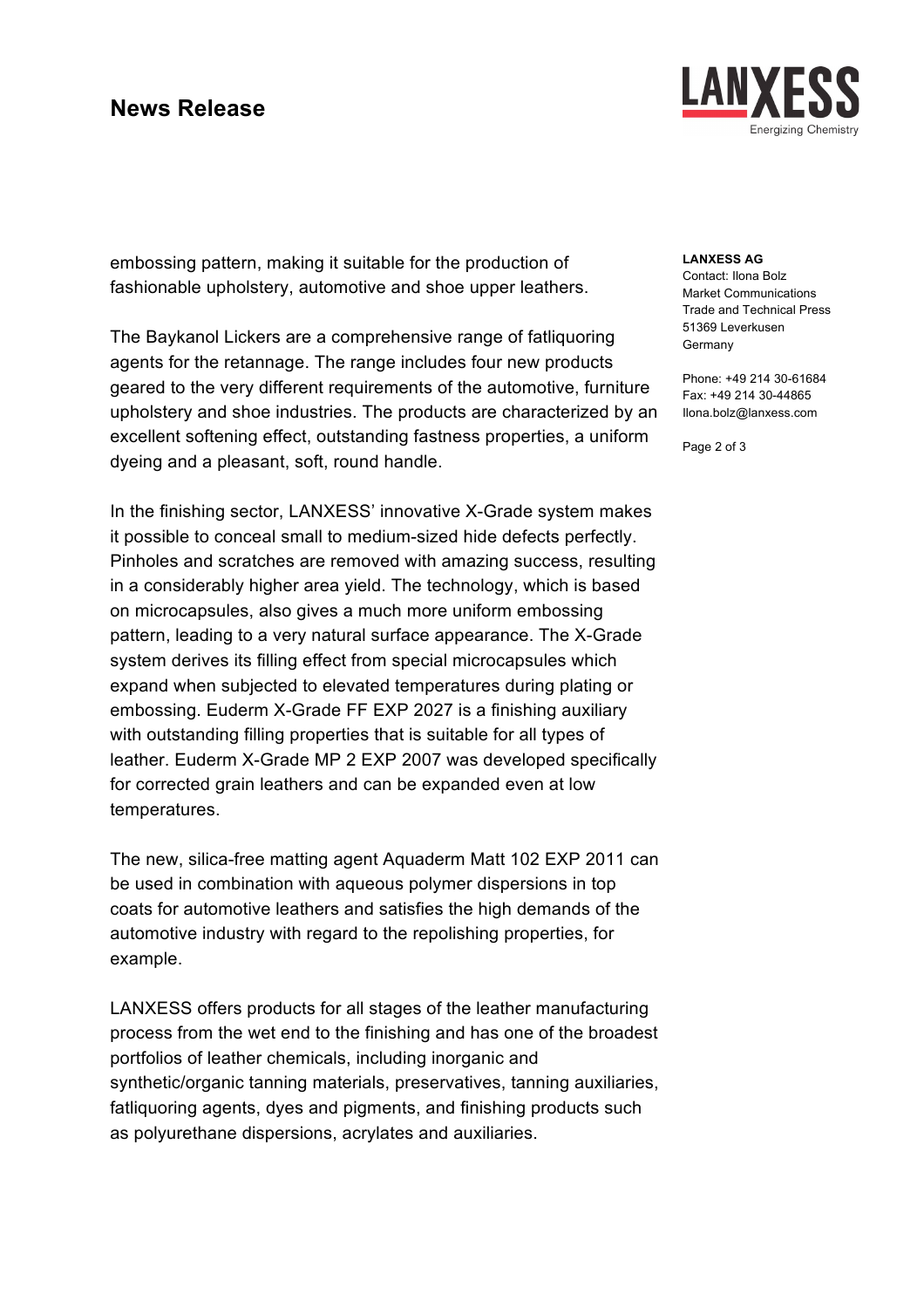# **News Release**

LAN nergizing Chemistry

embossing pattern, making it suitable for the production of fashionable upholstery, automotive and shoe upper leathers.

The Baykanol Lickers are a comprehensive range of fatliquoring agents for the retannage. The range includes four new products geared to the very different requirements of the automotive, furniture upholstery and shoe industries. The products are characterized by an excellent softening effect, outstanding fastness properties, a uniform dyeing and a pleasant, soft, round handle.

In the finishing sector, LANXESS' innovative X-Grade system makes it possible to conceal small to medium-sized hide defects perfectly. Pinholes and scratches are removed with amazing success, resulting in a considerably higher area yield. The technology, which is based on microcapsules, also gives a much more uniform embossing pattern, leading to a very natural surface appearance. The X-Grade system derives its filling effect from special microcapsules which expand when subjected to elevated temperatures during plating or embossing. Euderm X-Grade FF EXP 2027 is a finishing auxiliary with outstanding filling properties that is suitable for all types of leather. Euderm X-Grade MP 2 EXP 2007 was developed specifically for corrected grain leathers and can be expanded even at low temperatures.

The new, silica-free matting agent Aquaderm Matt 102 EXP 2011 can be used in combination with aqueous polymer dispersions in top coats for automotive leathers and satisfies the high demands of the automotive industry with regard to the repolishing properties, for example.

LANXESS offers products for all stages of the leather manufacturing process from the wet end to the finishing and has one of the broadest portfolios of leather chemicals, including inorganic and synthetic/organic tanning materials, preservatives, tanning auxiliaries, fatliquoring agents, dyes and pigments, and finishing products such as polyurethane dispersions, acrylates and auxiliaries.

### **LANXESS AG**

Contact: Ilona Bolz Market Communications Trade and Technical Press 51369 Leverkusen Germany

Phone: +49 214 30-61684 Fax: +49 214 30-44865 Ilona.bolz@lanxess.com

Page 2 of 3